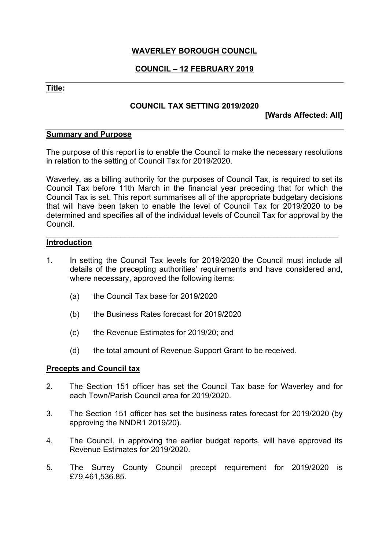### **WAVERLEY BOROUGH COUNCIL**

## **COUNCIL – 12 FEBRUARY 2019**

#### **Title:**

#### **COUNCIL TAX SETTING 2019/2020**

**[Wards Affected: All]**

#### **Summary and Purpose**

The purpose of this report is to enable the Council to make the necessary resolutions in relation to the setting of Council Tax for 2019/2020.

Waverley, as a billing authority for the purposes of Council Tax, is required to set its Council Tax before 11th March in the financial year preceding that for which the Council Tax is set. This report summarises all of the appropriate budgetary decisions that will have been taken to enable the level of Council Tax for 2019/2020 to be determined and specifies all of the individual levels of Council Tax for approval by the Council.

\_\_\_\_\_\_\_\_\_\_\_\_\_\_\_\_\_\_\_\_\_\_\_\_\_\_\_\_\_\_\_\_\_\_\_\_\_\_\_\_\_\_\_\_\_\_\_\_\_\_\_\_\_\_\_\_\_\_\_\_\_\_\_\_\_\_\_

#### **Introduction**

- 1. In setting the Council Tax levels for 2019/2020 the Council must include all details of the precepting authorities' requirements and have considered and, where necessary, approved the following items:
	- (a) the Council Tax base for 2019/2020
	- (b) the Business Rates forecast for 2019/2020
	- (c) the Revenue Estimates for 2019/20; and
	- (d) the total amount of Revenue Support Grant to be received.

#### **Precepts and Council tax**

- 2. The Section 151 officer has set the Council Tax base for Waverley and for each Town/Parish Council area for 2019/2020.
- 3. The Section 151 officer has set the business rates forecast for 2019/2020 (by approving the NNDR1 2019/20).
- 4. The Council, in approving the earlier budget reports, will have approved its Revenue Estimates for 2019/2020.
- 5. The Surrey County Council precept requirement for 2019/2020 is £79,461,536.85.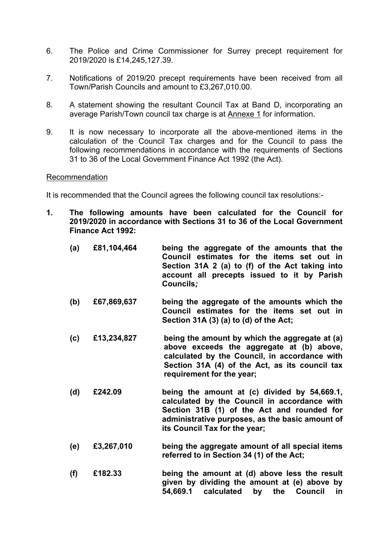- 6. The Police and Crime Commissioner for Surrey precept requirement for 2019/2020 is £14,245,127.39.
- 7. Notifications of 2019/20 precept requirements have been received from all Town/Parish Councils and amount to £3,267,010.00.
- 8. A statement showing the resultant Council Tax at Band D, incorporating an average Parish/Town council tax charge is at Annexe 1 for information.
- 9. It is now necessary to incorporate all the above-mentioned items in the calculation of the Council Tax charges and for the Council to pass the following recommendations in accordance with the requirements of Sections 31 to 36 of the Local Government Finance Act 1992 (the Act).

#### Recommendation

It is recommended that the Council agrees the following council tax resolutions:-

- **1. The following amounts have been calculated for the Council for 2019/2020 in accordance with Sections 31 to 36 of the Local Government Finance Act 1992:**
	- **(a) £81,104,464 being the aggregate of the amounts that the Council estimates for the items set out in Section 31A 2 (a) to (f) of the Act taking into account all precepts issued to it by Parish Councils***;*
	- **(b) £67,869,637 being the aggregate of the amounts which the Council estimates for the items set out in Section 31A (3) (a) to (d) of the Act;**
	- **(c) £13,234,827 being the amount by which the aggregate at (a) above exceeds the aggregate at (b) above, calculated by the Council, in accordance with Section 31A (4) of the Act, as its council tax requirement for the year;**
	- **(d) £242.09 being the amount at (c) divided by 54,669.1, calculated by the Council in accordance with Section 31B (1) of the Act and rounded for administrative purposes, as the basic amount of its Council Tax for the year;**
	- **(e) £3,267,010 being the aggregate amount of all special items referred to in Section 34 (1) of the Act;**
	- **(f) £182.33 being the amount at (d) above less the result given by dividing the amount at (e) above by 54,669.1 calculated by the Council in**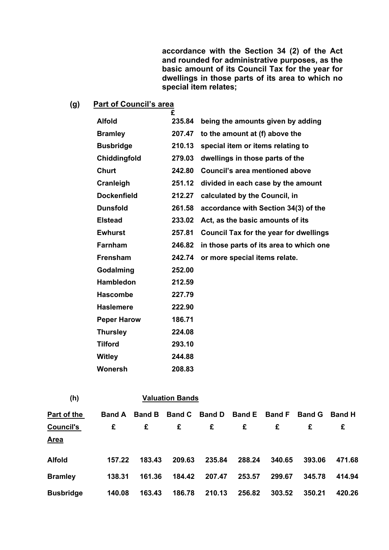**accordance with the Section 34 (2) of the Act and rounded for administrative purposes, as the basic amount of its Council Tax for the year for dwellings in those parts of its area to which no special item relates;**

# **(g) Part of Council's area**

|                    | £      |                                               |
|--------------------|--------|-----------------------------------------------|
| <b>Alfold</b>      | 235.84 | being the amounts given by adding             |
| <b>Bramley</b>     | 207.47 | to the amount at (f) above the                |
| <b>Busbridge</b>   | 210.13 | special item or items relating to             |
| Chiddingfold       | 279.03 | dwellings in those parts of the               |
| <b>Churt</b>       | 242.80 | Council's area mentioned above                |
| Cranleigh          | 251.12 | divided in each case by the amount            |
| <b>Dockenfield</b> | 212.27 | calculated by the Council, in                 |
| <b>Dunsfold</b>    | 261.58 | accordance with Section 34(3) of the          |
| <b>Elstead</b>     | 233.02 | Act, as the basic amounts of its              |
| <b>Ewhurst</b>     | 257.81 | <b>Council Tax for the year for dwellings</b> |
| <b>Farnham</b>     | 246.82 | in those parts of its area to which one       |
| <b>Frensham</b>    | 242.74 | or more special items relate.                 |
| Godalming          | 252.00 |                                               |
| <b>Hambledon</b>   | 212.59 |                                               |
| <b>Hascombe</b>    | 227.79 |                                               |
| <b>Haslemere</b>   | 222.90 |                                               |
| <b>Peper Harow</b> | 186.71 |                                               |
| <b>Thursley</b>    | 224.08 |                                               |
| <b>Tilford</b>     | 293.10 |                                               |
| <b>Witley</b>      | 244.88 |                                               |
| Wonersh            | 208.83 |                                               |

| (h)              |               | <b>Valuation Bands</b> |               |               |               |               |               |               |
|------------------|---------------|------------------------|---------------|---------------|---------------|---------------|---------------|---------------|
| Part of the      | <b>Band A</b> | <b>Band B</b>          | <b>Band C</b> | <b>Band D</b> | <b>Band E</b> | <b>Band F</b> | <b>Band G</b> | <b>Band H</b> |
| <b>Council's</b> | £             | £                      | £             | £             | £             | £             | £             | £             |
| <b>Area</b>      |               |                        |               |               |               |               |               |               |
| <b>Alfold</b>    | 157.22        | 183.43                 | 209.63        | 235.84        | 288.24        | 340.65        | 393.06        | 471.68        |
| <b>Bramley</b>   | 138.31        | 161.36                 | 184.42        | 207.47        | 253.57        | 299.67        | 345.78        | 414.94        |
| <b>Busbridge</b> | 140.08        | 163.43                 | 186.78        | 210.13        | 256.82        | 303.52        | 350.21        | 420.26        |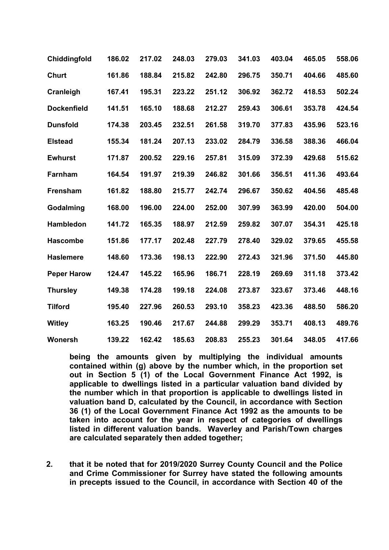| Chiddingfold       | 186.02 | 217.02 | 248.03 | 279.03 | 341.03 | 403.04 | 465.05 | 558.06 |
|--------------------|--------|--------|--------|--------|--------|--------|--------|--------|
| <b>Churt</b>       | 161.86 | 188.84 | 215.82 | 242.80 | 296.75 | 350.71 | 404.66 | 485.60 |
| Cranleigh          | 167.41 | 195.31 | 223.22 | 251.12 | 306.92 | 362.72 | 418.53 | 502.24 |
| <b>Dockenfield</b> | 141.51 | 165.10 | 188.68 | 212.27 | 259.43 | 306.61 | 353.78 | 424.54 |
| <b>Dunsfold</b>    | 174.38 | 203.45 | 232.51 | 261.58 | 319.70 | 377.83 | 435.96 | 523.16 |
| <b>Elstead</b>     | 155.34 | 181.24 | 207.13 | 233.02 | 284.79 | 336.58 | 388.36 | 466.04 |
| <b>Ewhurst</b>     | 171.87 | 200.52 | 229.16 | 257.81 | 315.09 | 372.39 | 429.68 | 515.62 |
| Farnham            | 164.54 | 191.97 | 219.39 | 246.82 | 301.66 | 356.51 | 411.36 | 493.64 |
| Frensham           | 161.82 | 188.80 | 215.77 | 242.74 | 296.67 | 350.62 | 404.56 | 485.48 |
| Godalming          | 168.00 | 196.00 | 224.00 | 252.00 | 307.99 | 363.99 | 420.00 | 504.00 |
| Hambledon          | 141.72 | 165.35 | 188.97 | 212.59 | 259.82 | 307.07 | 354.31 | 425.18 |
| <b>Hascombe</b>    | 151.86 | 177.17 | 202.48 | 227.79 | 278.40 | 329.02 | 379.65 | 455.58 |
| <b>Haslemere</b>   | 148.60 | 173.36 | 198.13 | 222.90 | 272.43 | 321.96 | 371.50 | 445.80 |
| <b>Peper Harow</b> | 124.47 | 145.22 | 165.96 | 186.71 | 228.19 | 269.69 | 311.18 | 373.42 |
| <b>Thursley</b>    | 149.38 | 174.28 | 199.18 | 224.08 | 273.87 | 323.67 | 373.46 | 448.16 |
| <b>Tilford</b>     | 195.40 | 227.96 | 260.53 | 293.10 | 358.23 | 423.36 | 488.50 | 586.20 |
| <b>Witley</b>      | 163.25 | 190.46 | 217.67 | 244.88 | 299.29 | 353.71 | 408.13 | 489.76 |
| Wonersh            | 139.22 | 162.42 | 185.63 | 208.83 | 255.23 | 301.64 | 348.05 | 417.66 |

**being the amounts given by multiplying the individual amounts contained within (g) above by the number which, in the proportion set out in Section 5 (1) of the Local Government Finance Act 1992, is applicable to dwellings listed in a particular valuation band divided by the number which in that proportion is applicable to dwellings listed in valuation band D, calculated by the Council, in accordance with Section 36 (1) of the Local Government Finance Act 1992 as the amounts to be taken into account for the year in respect of categories of dwellings listed in different valuation bands. Waverley and Parish/Town charges are calculated separately then added together;**

**2. that it be noted that for 2019/2020 Surrey County Council and the Police and Crime Commissioner for Surrey have stated the following amounts in precepts issued to the Council, in accordance with Section 40 of the**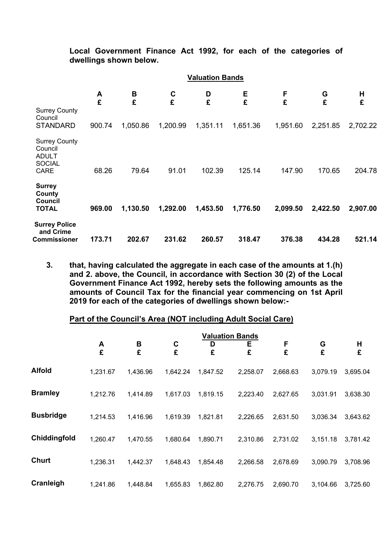**Local Government Finance Act 1992, for each of the categories of dwellings shown below.**

|                                                                                 |        | <b>Valuation Bands</b> |          |          |          |          |          |          |  |  |
|---------------------------------------------------------------------------------|--------|------------------------|----------|----------|----------|----------|----------|----------|--|--|
| <b>Surrey County</b><br>Council                                                 | A<br>£ | B<br>£                 | C<br>£   | D<br>£   | Е<br>£   | F<br>£   | G<br>£   | н<br>£   |  |  |
| <b>STANDARD</b>                                                                 | 900.74 | 1,050.86               | 1,200.99 | 1,351.11 | 1,651.36 | 1,951.60 | 2,251.85 | 2,702.22 |  |  |
| <b>Surrey County</b><br>Council<br><b>ADULT</b><br><b>SOCIAL</b><br><b>CARE</b> | 68.26  | 79.64                  | 91.01    | 102.39   | 125.14   | 147.90   | 170.65   | 204.78   |  |  |
| <b>Surrey</b><br>County<br><b>Council</b><br><b>TOTAL</b>                       | 969.00 | 1,130.50               | 1,292.00 | 1,453.50 | 1,776.50 | 2,099.50 | 2,422.50 | 2,907.00 |  |  |
| <b>Surrey Police</b><br>and Crime<br>Commissioner                               | 173.71 | 202.67                 | 231.62   | 260.57   | 318.47   | 376.38   | 434.28   | 521.14   |  |  |

**3. that, having calculated the aggregate in each case of the amounts at 1.(h) and 2. above, the Council, in accordance with Section 30 (2) of the Local Government Finance Act 1992, hereby sets the following amounts as the amounts of Council Tax for the financial year commencing on 1st April 2019 for each of the categories of dwellings shown below:-**

#### **Part of the Council's Area (NOT including Adult Social Care)**

|                  |          |          |          |          | <b>Valuation Bands</b> |          |          |          |
|------------------|----------|----------|----------|----------|------------------------|----------|----------|----------|
|                  | A<br>£   | B<br>£   | C<br>£   | D<br>£   | Е<br>£                 | F<br>£   | G<br>£   | H<br>£   |
| <b>Alfold</b>    | 1,231.67 | 1,436.96 | 1,642.24 | 1,847.52 | 2,258.07               | 2,668.63 | 3,079.19 | 3,695.04 |
| <b>Bramley</b>   | 1,212.76 | 1,414.89 | 1,617.03 | 1,819.15 | 2,223.40               | 2,627.65 | 3,031.91 | 3,638.30 |
| <b>Busbridge</b> | 1,214.53 | 1,416.96 | 1,619.39 | 1,821.81 | 2,226.65               | 2,631.50 | 3,036.34 | 3,643.62 |
| Chiddingfold     | 1,260.47 | 1,470.55 | 1,680.64 | 1,890.71 | 2,310.86               | 2,731.02 | 3,151.18 | 3,781.42 |
| <b>Churt</b>     | 1,236.31 | 1,442.37 | 1,648.43 | 1,854.48 | 2,266.58               | 2,678.69 | 3,090.79 | 3,708.96 |
| Cranleigh        | 1,241.86 | 1,448.84 | 1,655.83 | 1,862.80 | 2,276.75               | 2,690.70 | 3,104.66 | 3,725.60 |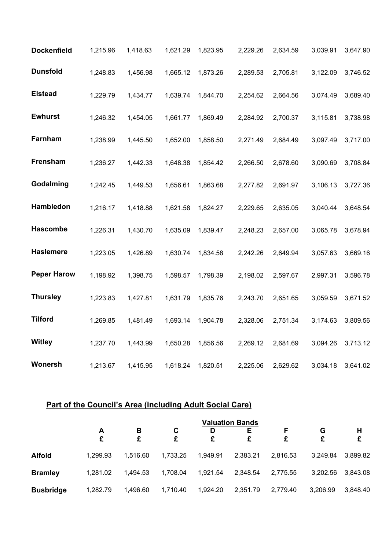| <b>Dockenfield</b> | 1,215.96 | 1,418.63 | 1,621.29 | 1,823.95 | 2,229.26 | 2,634.59 | 3,039.91 | 3,647.90 |
|--------------------|----------|----------|----------|----------|----------|----------|----------|----------|
| <b>Dunsfold</b>    | 1,248.83 | 1,456.98 | 1,665.12 | 1,873.26 | 2,289.53 | 2,705.81 | 3,122.09 | 3,746.52 |
| <b>Elstead</b>     | 1,229.79 | 1,434.77 | 1,639.74 | 1,844.70 | 2,254.62 | 2,664.56 | 3,074.49 | 3,689.40 |
| <b>Ewhurst</b>     | 1,246.32 | 1,454.05 | 1,661.77 | 1,869.49 | 2,284.92 | 2,700.37 | 3,115.81 | 3,738.98 |
| Farnham            | 1,238.99 | 1,445.50 | 1,652.00 | 1,858.50 | 2,271.49 | 2,684.49 | 3,097.49 | 3,717.00 |
| Frensham           | 1,236.27 | 1,442.33 | 1,648.38 | 1,854.42 | 2,266.50 | 2,678.60 | 3,090.69 | 3,708.84 |
| Godalming          | 1,242.45 | 1,449.53 | 1,656.61 | 1,863.68 | 2,277.82 | 2,691.97 | 3,106.13 | 3,727.36 |
| Hambledon          | 1,216.17 | 1,418.88 | 1,621.58 | 1,824.27 | 2,229.65 | 2,635.05 | 3,040.44 | 3,648.54 |
| <b>Hascombe</b>    | 1,226.31 | 1,430.70 | 1,635.09 | 1,839.47 | 2,248.23 | 2,657.00 | 3,065.78 | 3,678.94 |
| <b>Haslemere</b>   | 1,223.05 | 1,426.89 | 1,630.74 | 1,834.58 | 2,242.26 | 2,649.94 | 3,057.63 | 3,669.16 |
| <b>Peper Harow</b> | 1,198.92 | 1,398.75 | 1,598.57 | 1,798.39 | 2,198.02 | 2,597.67 | 2,997.31 | 3,596.78 |
| <b>Thursley</b>    | 1,223.83 | 1,427.81 | 1,631.79 | 1,835.76 | 2,243.70 | 2,651.65 | 3,059.59 | 3,671.52 |
| <b>Tilford</b>     | 1,269.85 | 1,481.49 | 1,693.14 | 1,904.78 | 2,328.06 | 2,751.34 | 3,174.63 | 3,809.56 |
| <b>Witley</b>      | 1,237.70 | 1,443.99 | 1,650.28 | 1,856.56 | 2,269.12 | 2,681.69 | 3,094.26 | 3,713.12 |
| <b>Wonersh</b>     | 1,213.67 | 1,415.95 | 1,618.24 | 1,820.51 | 2,225.06 | 2,629.62 | 3,034.18 | 3,641.02 |

# **Part of the Council's Area (including Adult Social Care)**

|                  | <b>Valuation Bands</b> |          |          |          |          |          |          |          |  |
|------------------|------------------------|----------|----------|----------|----------|----------|----------|----------|--|
|                  | A<br>£                 | В<br>£   | C<br>£   | D        | Е<br>£   | F<br>£   | G<br>£   | H<br>£   |  |
| <b>Alfold</b>    | 1,299.93               | 1.516.60 | 1,733.25 | 1,949.91 | 2,383.21 | 2,816.53 | 3,249.84 | 3,899.82 |  |
| <b>Bramley</b>   | 1,281.02               | 1,494.53 | 1,708.04 | 1,921.54 | 2,348.54 | 2,775.55 | 3,202.56 | 3,843.08 |  |
| <b>Busbridge</b> | 1,282.79               | 1,496.60 | 1,710.40 | 1,924.20 | 2,351.79 | 2,779.40 | 3,206.99 | 3,848.40 |  |